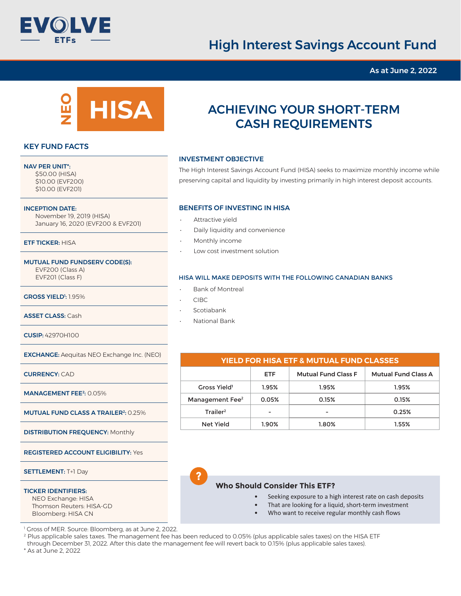

# High Interest Savings Account Fund

As at June 2, 2022



### KEY FUND FACTS

#### NAV PER UNIT\*:

 \$50.00 (HISA) \$10.00 (EVF200) \$10.00 (EVF201)

#### INCEPTION DATE:

 November 19, 2019 (HISA) January 16, 2020 (EVF200 & EVF201)

#### ETF TICKER: HISA

#### MUTUAL FUND FUNDSERV CODE(S):

 EVF200 (Class A) EVF201 (Class F)

**GROSS YIELD':** 1.95%

ASSET CLASS: Cash

CUSIP: 42970H100

EXCHANGE: Aequitas NEO Exchange Inc. (NEO)

CURRENCY: CAD

MANAGEMENT FEE<sup>2</sup>: 0.05%

MUTUAL FUND CLASS A TRAILER<sup>2</sup>: 0.25%

DISTRIBUTION FREQUENCY: Monthly

REGISTERED ACCOUNT ELIGIBILITY: Yes

SETTLEMENT: T+1 Day

#### TICKER IDENTIFIERS:

 NEO Exchange: HISA Thomson Reuters: HISA-GD Bloomberg: HISA CN

1 Gross of MER. Source: Bloomberg, as at June 2, 2022.

2 Plus applicable sales taxes. The management fee has been reduced to 0.05% (plus applicable sales taxes) on the HISA ETF through December 31, 2022. After this date the management fee will revert back to 0.15% (plus applicable sales taxes). \* As at June 2, 2022

**?**

## ACHIEVING YOUR SHORT-TERM CASH REQUIREMENTS

#### INVESTMENT OBJECTIVE

The High Interest Savings Account Fund (HISA) seeks to maximize monthly income while preserving capital and liquidity by investing primarily in high interest deposit accounts.

#### BENEFITS OF INVESTING IN HISA

- Attractive yield
- Daily liquidity and convenience
- Monthly income
- Low cost investment solution

#### HISA WILL MAKE DEPOSITS WITH THE FOLLOWING CANADIAN BANKS

- Bank of Montreal
- CIBC
- **Scotiabank**

| <b>YIELD FOR HISA ETF &amp; MUTUAL FUND CLASSES</b> |            |                            |                            |  |  |  |  |  |
|-----------------------------------------------------|------------|----------------------------|----------------------------|--|--|--|--|--|
|                                                     | <b>ETF</b> | <b>Mutual Fund Class F</b> | <b>Mutual Fund Class A</b> |  |  |  |  |  |
| Gross Yield <sup>1</sup>                            | 1.95%      | 1.95%                      | 1.95%                      |  |  |  |  |  |
| Management Fee <sup>2</sup>                         | 0.05%      | 0.15%                      | 0.15%                      |  |  |  |  |  |
| Trailer <sup>2</sup>                                |            |                            | 0.25%                      |  |  |  |  |  |
| Net Yield                                           | 1.90%      | 1.80%                      | 1.55%                      |  |  |  |  |  |

#### **Who Should Consider This ETF?**

- Seeking exposure to a high interest rate on cash deposits
- That are looking for a liquid, short-term investment
- Who want to receive regular monthly cash flows

• National Bank